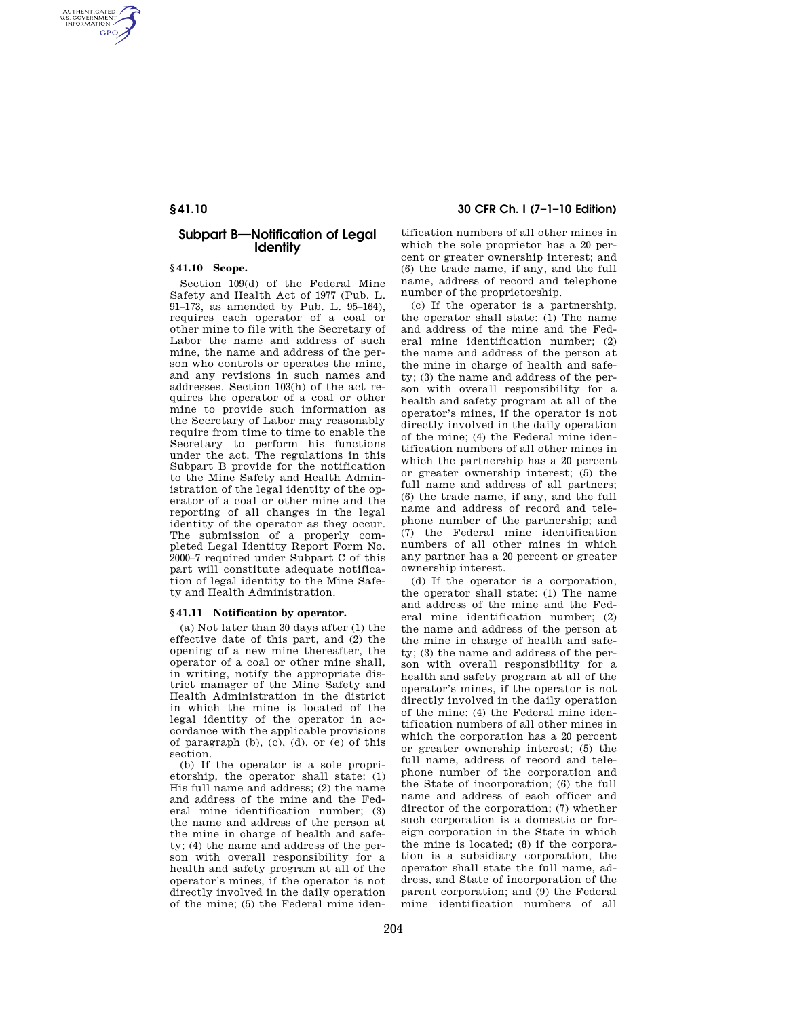AUTHENTICATED<br>U.S. GOVERNMENT<br>INFORMATION **GPO** 

## **Subpart B—Notification of Legal Identity**

#### **§ 41.10 Scope.**

Section 109(d) of the Federal Mine Safety and Health Act of 1977 (Pub. L. 91–173, as amended by Pub. L. 95–164), requires each operator of a coal or other mine to file with the Secretary of Labor the name and address of such mine, the name and address of the person who controls or operates the mine, and any revisions in such names and addresses. Section 103(h) of the act requires the operator of a coal or other mine to provide such information as the Secretary of Labor may reasonably require from time to time to enable the Secretary to perform his functions under the act. The regulations in this Subpart B provide for the notification to the Mine Safety and Health Administration of the legal identity of the operator of a coal or other mine and the reporting of all changes in the legal identity of the operator as they occur. The submission of a properly completed Legal Identity Report Form No. 2000–7 required under Subpart C of this part will constitute adequate notification of legal identity to the Mine Safety and Health Administration.

#### **§ 41.11 Notification by operator.**

(a) Not later than 30 days after (1) the effective date of this part, and (2) the opening of a new mine thereafter, the operator of a coal or other mine shall, in writing, notify the appropriate district manager of the Mine Safety and Health Administration in the district in which the mine is located of the legal identity of the operator in accordance with the applicable provisions of paragraph (b), (c), (d), or (e) of this section.

(b) If the operator is a sole proprietorship, the operator shall state: (1) His full name and address; (2) the name and address of the mine and the Federal mine identification number; (3) the name and address of the person at the mine in charge of health and safety; (4) the name and address of the person with overall responsibility for a health and safety program at all of the operator's mines, if the operator is not directly involved in the daily operation of the mine; (5) the Federal mine iden-

# **§ 41.10 30 CFR Ch. I (7–1–10 Edition)**

tification numbers of all other mines in which the sole proprietor has a 20 percent or greater ownership interest; and (6) the trade name, if any, and the full name, address of record and telephone number of the proprietorship.

(c) If the operator is a partnership, the operator shall state: (1) The name and address of the mine and the Federal mine identification number; (2) the name and address of the person at the mine in charge of health and safety; (3) the name and address of the person with overall responsibility for a health and safety program at all of the operator's mines, if the operator is not directly involved in the daily operation of the mine; (4) the Federal mine identification numbers of all other mines in which the partnership has a 20 percent or greater ownership interest; (5) the full name and address of all partners; (6) the trade name, if any, and the full name and address of record and telephone number of the partnership; and (7) the Federal mine identification numbers of all other mines in which any partner has a 20 percent or greater ownership interest.

(d) If the operator is a corporation, the operator shall state: (1) The name and address of the mine and the Federal mine identification number; (2) the name and address of the person at the mine in charge of health and safety; (3) the name and address of the person with overall responsibility for a health and safety program at all of the operator's mines, if the operator is not directly involved in the daily operation of the mine; (4) the Federal mine identification numbers of all other mines in which the corporation has a 20 percent or greater ownership interest; (5) the full name, address of record and telephone number of the corporation and the State of incorporation; (6) the full name and address of each officer and director of the corporation; (7) whether such corporation is a domestic or foreign corporation in the State in which the mine is located; (8) if the corporation is a subsidiary corporation, the operator shall state the full name, address, and State of incorporation of the parent corporation; and (9) the Federal mine identification numbers of all